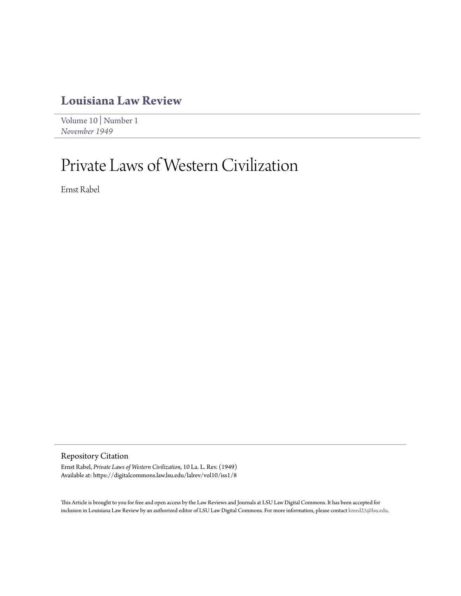# **[Louisiana Law Review](https://digitalcommons.law.lsu.edu/lalrev)**

[Volume 10](https://digitalcommons.law.lsu.edu/lalrev/vol10) | [Number 1](https://digitalcommons.law.lsu.edu/lalrev/vol10/iss1) *[November 1949](https://digitalcommons.law.lsu.edu/lalrev/vol10/iss1)*

# Private Laws of Western Civilization

Ernst Rabel

Repository Citation

Ernst Rabel, *Private Laws of Western Civilization*, 10 La. L. Rev. (1949) Available at: https://digitalcommons.law.lsu.edu/lalrev/vol10/iss1/8

This Article is brought to you for free and open access by the Law Reviews and Journals at LSU Law Digital Commons. It has been accepted for inclusion in Louisiana Law Review by an authorized editor of LSU Law Digital Commons. For more information, please contact [kreed25@lsu.edu](mailto:kreed25@lsu.edu).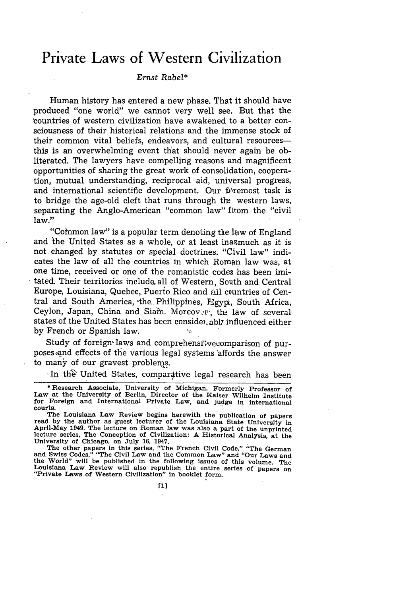## **Private Laws of Western Civilization**

### *Ernst Rabel\**

Human history has entered a new phase. That it should have produced "one world" we cannot very well see. But that the countries of western civilization have awakened to a better consciousness of their historical relations and the immense stock of their common vital beliefs, endeavors, and cultural resourcesthis is an overwhelming event that should never again be obliterated. The lawyers have compelling reasons and magnificent opportunities of sharing the great work of consolidation, cooperation, mutual understanding, reciprocal aid, universal progress, and international scientific development. Our  $\hat{v}$ remost task is to bridge the age-old cleft that runs through the western laws, separating the Anglo-American "common law" firom the "civil law."

"Common law" is a popular term denoting the law of England and the United States as a whole, or at least inasmuch as it is not changed by statutes or special doctrines. "Civil law" indicates the law of all the countries in which Roman law was, at one time, received or one of the romanistic codes has been imitated. Their territories include all of Western, South and Central Europe, Louisiana, Quebec,. Puerto Rico and all countries of Central and South America, the Philippines, Egypt, South Africa, Ceylon, Japan, China and Siam. Moreov.r., the law of several states of the United States has been consider ably influenced either by French or Spanish law.

Study of foreign laws and comprehensi've comparison of purposes and effects of the various legal systems 'affords the answer to many of our gravest problems.

In the United States, comparative legal research has been

**The Louisiana Law Review begins herewith the publication of papers read by the author as guest lecturer of the Louisiana State University in April-May 1949. The lecture on Roman law was also a part of the unprinted lecture series, The Conception of Civilization: A Historical Analysis, at the University of Chicago, on July 16, 1947.**

**The other papers in this series, "The French Civil Code," "The German and Swiss Codes," "The Civil Law and the Common Law" and "Our Laws and the World" will be published in the following issues of this volume. The Louisiana Law Review will also republish the entire series of papers on "Private Laws of Western Civilization" in booklet form.**

**<sup>\*</sup> Research Associate, University of Michigan. Formerly Professor of Law at the University of Berlin, Director of the Kaiser Wilhelm Institute for Foreign and International Private Law, and Judge in international courts.**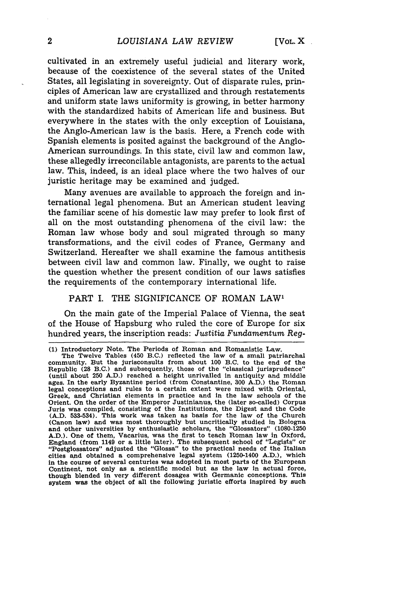cultivated in an extremely useful judicial and literary work, because of the coexistence of the several states of the United States, all legislating in sovereignty. Out of disparate rules, principles of American law are crystallized and through restatements and uniform state laws uniformity is growing, in better harmony with the standardized habits of American life and business. But everywhere in the states with the only exception of Louisiana, the Anglo-American law is the basis. Here, a French code with Spanish elements is posited against the background of the Anglo-American surroundings. In this state, civil law and common law, these allegedly irreconcilable antagonists, are parents to the actual law. This, indeed, is an ideal place where the two halves of our juristic heritage may be examined and judged.

Many avenues are available to approach the foreign and international legal phenomena. But an American student leaving the familiar scene of his domestic law may prefer to look first of all on the most outstanding phenomena of the civil law: the Roman law whose body and soul migrated through so many transformations, and the civil codes of France, Germany and Switzerland. Hereafter we shall examine the famous antithesis between civil law and common law. Finally, we ought to raise the question whether the present condition of our laws satisfies the requirements of the contemporary international life.

## PART I. THE SIGNIFICANCE OF ROMAN LAW<sup>1</sup>

On the main gate of the Imperial Palace of Vienna, the seat of the House of Hapsburg who ruled the core of Europe for six hundred years, the inscription reads: *Justitia Fundamentum Reg-*

**<sup>(1)</sup>** Introductory Note. The Periods of Roman and Romanistic Law.

The Twelve Tables (450 B.C.) reflected the law of a small patriarchal community. But the jurisconsults from about 100 B.C. to the end of the Republic **(28** B.C.) and subsequently, those of the "classical jurisprudence" (until about 250 A.D.) reached **a** height unrivalled in antiquity and middle ages. In the early Byzantine period (from Constantine, **300** A.D.) the Roman legal conceptions and rules to a certain extent were mixed with Oriental, Greek, and Christian elements in practice and in the law schools of the Orient. On the order of the Emperor Justinianus, the (later so-called) Corpus Juris was compiled, consisting of the Institutions, the Digest and the Code (A.D. 533-534). This work was taken as basis for the law of the Church (Canon law) and was most thoroughly but uncritically studied in Bologna and other universities **by** enthusiastic scholars, the "Glossators" (1080-1250 A.D.). One of them, Vacarius, was the first to teach Roman law in Oxford, England (from 1149 or a little later). The subsequent school of "Legists" or "Postglossators" adjusted the "Glossa" to the practical needs of the Italian cities and obtained a comprehensive legal system (1250-1400 A.D.), which in the course of several centuries was adopted in most parts of the European Continent, not only as a scientific model but as the law in actual force, though blended in very different dosages with Germanic conceptions. This system was the object of all the following juristic efforts inspired by such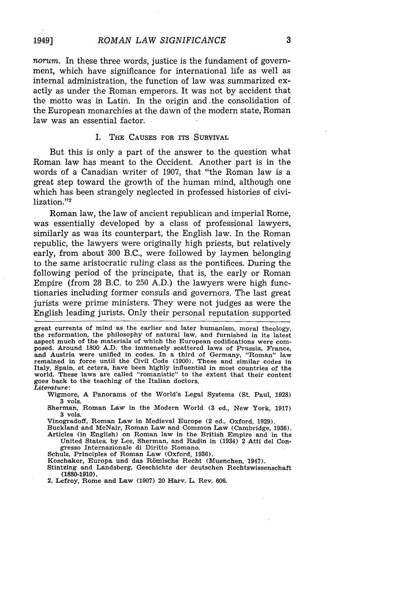*rorum.* In these three words, justice is the fundament of government, which have significance for international life as well as internal administration, the function of law was summarized exactly as under the Roman emperors. It was not by accident that the motto was in Latin. In the origin and .the consolidation of the European monarchies at the dawn of the modern state, Roman law was an essential factor.

#### I. THE CAUSES FOR ITS SURVIVAL

But this is only a part of the answer to the question what Roman law has meant to the Occident. Another part is in the words of a Canadian writer of 1907, that "the Roman law is a great step toward the growth of the human mind, although one which has been strangely neglected in professed histories of civilization."<sup>2</sup>

Roman law, the law of ancient republican and imperial Rome, was essentially developed by a class of professional lawyers, similarly as was its counterpart, the English law. In the Roman republic, the lawyers were originally high priests, but relatively early, from about 300 B.C., were followed by laymen belonging to the same aristocratic ruling class as the pontifices. During the following period of the principate, that is, the early or Roman Empire (from 28 B.C. to 250 A.D.) the lawyers were high functionaries including former consuls and governors. The last great jurists were prime ministers. They were not judges as were the English leading jurists. Only their personal reputation supported

great currents of mind as the earlier and later humanism, moral theology, the reformation, the philosophy of natural law, and furnished in its latest aspect much of the materials of which the European codifications were composed. Around 1800 A.D. the immensely scattered laws of Prussia, France, and Austria were unified in codes. In a third of Germany, "Roman" law remained in force until the Civil Code (1900). These and similar codes in Italy, Spain, et cetera, have been highly influential in most countries of the world. These laws are called "romanistic" to the extent that their content goes back to the teaching of the Italian doctors. *Literature:*

Wigmore, A Panorama of the World's Legal Systems (St. Paul, 1928) **3** vols.

Sherman, Roman Law in the Modern World (3 ed., New York, 1917) **3** vols.

Vinogradoff, Roman Law in Medieval Europe (2 ed., Oxford, **1929).**

Buckland and McNair, Roman Law and Common Law (Cambridge, **1936).** Articles (in English) on Roman law in the British Empire and in the United States, **by** Lee, Sherman, and Radin in (1934) 2 Atti del Congresso Internazionale **di** Diritto Romano.

Schulz, Principles of Roman Law (Oxford, **1936).**

Koschaker, Europa und das Römische Recht (Muenchen, 1947).

Stintzing and Landsberg, Geschichte der deutschen Rechtswissenschaft **(1880-1910).**

2. Lefroy, Rome and Law **(1907)** 20 Harv. L. Rev. **606.**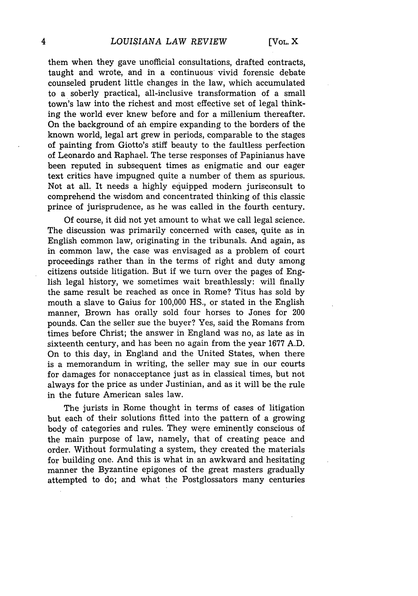them when they gave unofficial consultations, drafted contracts, taught and wrote, and in a continuous vivid forensic debate counseled prudent little changes in the law, which accumulated to a soberly practical, all-inclusive transformation of a small town's law into the richest and most effective set of legal thinking the world ever knew before and for a millenium thereafter. On the background of an empire expanding to the borders of the known world, legal art grew in periods, comparable to the stages of painting from Giotto's stiff beauty to the faultless perfection of Leonardo and Raphael. The terse responses of Papinianus have been reputed in subsequent times as enigmatic and our eager text critics have impugned quite a number of them as spurious. Not at all. It needs a highly equipped modern jurisconsult to comprehend the wisdom and concentrated thinking of this classic prince of jurisprudence, as he was called in the fourth century.

Of course, it did not yet amount to what we call legal science. The discussion was primarily concerned with cases, quite as in English common law, originating in the tribunals. And again, as in common law, the case was envisaged as a problem of court proceedings rather than in the terms of right and duty among citizens outside litigation. But if we turn over the pages of English legal history, we sometimes wait breathlessly: will finally the same result be reached as once in Rome? Titus has sold by mouth a slave to Gaius for 100,000 HS., or stated in the English manner, Brown has orally sold four horses to Jones for 200 pounds. Can the seller sue the buyer? Yes, said the Romans from times before Christ; the answer in England was no, as late as in sixteenth century, and has been no again from the year 1677 A.D. On to this day, in England and the United States, when there is a memorandum in writing, the seller may sue in our courts for damages for nonacceptance just as in classical times, but not always for the price as under Justinian, and as it will be the rule in the future American sales law.

The jurists in Rome thought in terms of cases of litigation but each of their solutions fitted into the pattern of a growing body of categories and rules. They were eminently conscious of the main purpose of law, namely, that of creating peace and order. Without formulating a system, they created the materials for building one. And this is what in an awkward and hesitating manner the Byzantine epigones of the great masters gradually attempted to do; and what the Postglossators many centuries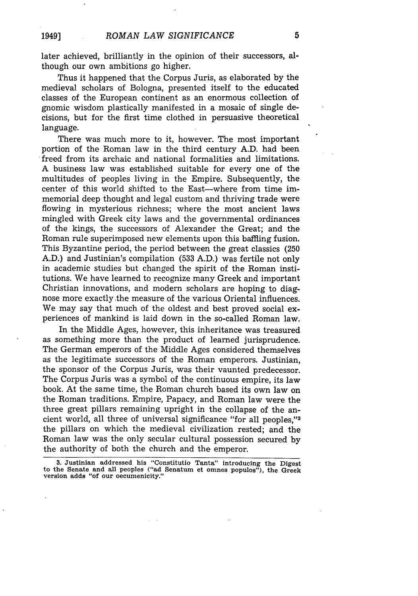later achieved, brilliantly in the opinion of their successors, although our own ambitions go higher.

Thus it happened that the Corpus Juris, as elaborated by the medieval scholars of Bologna, presented itself to the educated classes of the European continent as an enormous collection of gnomic wisdom plastically manifested in a mosaic of single decisions, but for the first time clothed in persuasive theoretical language.

There was much more to it, however. The most important portion of the Roman law in the third century A.D. had been freed from its archaic and national formalities and limitations. A business law was established suitable for every one of the multitudes of peoples living in the Empire. Subsequently, the center of this world shifted to the East-where from time immemorial deep thought and legal custom and thriving trade were flowing in mysterious richness; where the most ancient laws mingled with Greek city laws and the governmental ordinances of the kings, the successors of Alexander the Great; and the Roman rule superimposed new elements upon this baffling fusion. This Byzantine period, the period between the great classics (250 A.D.) and Justinian's compilation (533 A.D.) was fertile not only in academic studies but changed the spirit of the Roman institutions. We have learned to recognize many Greek and important Christian innovations, and modern scholars are hoping to diagnose more exactly the measure of the various Oriental influences. We may say that much of the oldest and best proved social experiences of mankind is laid down in the so-called Roman law.

In the Middle Ages, however, this inheritance was treasured as something more than the product of learned jurisprudence. The German emperors of the Middle Ages considered themselves as the legitimate successors of the Roman emperors. Justinian, the sponsor of the Corpus Juris, was their vaunted predecessor. The Corpus Juris was a symbol of the continuous empire, its law book. At the same time, the Roman church based its own law on the Roman traditions. Empire, Papacy, and Roman law were the three great pillars remaining upright in the collapse of the ancient world, all three of universal significance "for all peoples,"<sup>3</sup> the pillars on which the medieval civilization rested; and the Roman law was the only secular cultural possession secured by the authority of both the church and the emperor.

**1949]**

**<sup>3.</sup> Justinian addressed his "Constitutio Tanta" introducing the Digest to the Senate and all peoples ("ad Senatum et omnes populos"), the Greek version adds "of our oecumenicity."**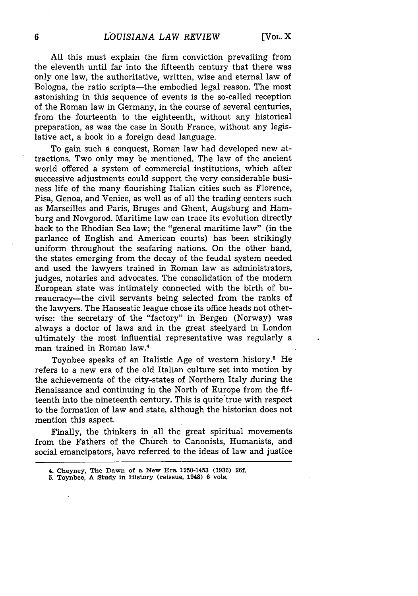All this must explain the firm conviction prevailing from the eleventh until far into the fifteenth century that there was only one law, the authoritative, written, wise and eternal law of Bologna, the ratio scripta—the embodied legal reason. The most astonishing in this sequence of events is the so-called reception of the Roman law in Germany, in the course of several centuries, from the fourteenth to the eighteenth, without any historical preparation, as was the case in South France, without any legislative act, a book in a foreign dead language.

To gain such a conquest, Roman law had developed new attractions. Two only may be mentioned. The law of the ancient world offered a system of commercial institutions, which after successive adjustments could support the very considerable business life of the many flourishing Italian cities such as Florence, Pisa, Genoa, and Venice, as well as of all the trading centers such as Marseilles and Paris, Bruges and Ghent, Augsburg and Hamburg and Novgorod. Maritime law can trace its evolution directly back to the Rhodian Sea law; the "general maritime law" (in the parlance of English and American courts) has been strikingly uniform throughout the seafaring nations. On the other hand, the states emerging from the decay of the feudal system needed and used the lawyers trained in Roman law as administrators, judges, notaries and advocates. The consolidation of the modern European state was intimately connected with the birth of bureaucracy—the civil servants being selected from the ranks of the lawyers. The Hanseatic league chose its office heads not otherwise: the secretary of the "factory" in Bergen (Norway) was always a doctor of laws and in the great steelyard in London ultimately the most influential representative was regularly a man trained in Roman law.4

Toynbee speaks of an Italistic Age of western history.5 He refers to a new era of the old Italian culture set into motion by the achievements of the city-states of Northern Italy during the Renaissance and continuing in the North of Europe from the fifteenth into the nineteenth century. This is quite true with respect to the formation of law and state, although the historian does not mention this aspect.

Finally, the thinkers in all the great spiritual movements from the Fathers of the Church to Canonists, Humanists, and social emancipators, have referred to the ideas of law and justice

**5.** Toynbee, **A** Study in History (reissue, 1948) **6** vols.

 $6\phantom{1}$ 

**<sup>4.</sup> Cheyney, The** Dawn **of a** New **Era 1250-1453 (1936) 26f.**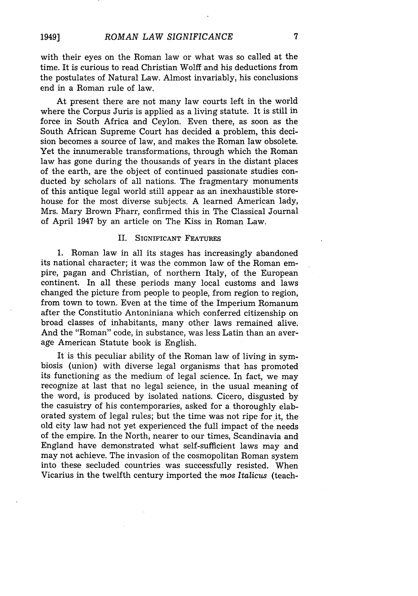with their eyes on the Roman law or what was so called at the time. It is curious to read Christian Wolff and his deductions from the postulates of Natural Law. Almost invariably, his conclusions end in a Roman rule of law.

At present there are not many law courts left in the world where the Corpus Juris is applied as a living statute. It is still in force in South Africa and Ceylon. Even there, as soon as the South African Supreme Court has decided a problem, this decision becomes a source of law, and makes the Roman law obsolete. Yet the innumerable transformations, through which the Roman law has gone during the thousands of years in the distant places of the earth, are the object of continued passionate studies conducted by scholars of all nations. The fragmentary monuments of this antique legal world still appear as an inexhaustible storehouse for the most diverse subjects. A learned American lady, Mrs. Mary Brown Pharr, confirmed this in The Classical Journal of April 1947 by an article on The Kiss in Roman Law.

### II. SIGNIFICANT FEATUREs

1. Roman law in all its stages has increasingly abandoned its national character; it was the common law of the Roman empire, pagan and Christian, of northern Italy, of the European continent. In all these periods many local customs and laws changed the picture from people to people, from region to region, from town to town. Even at the time of the Imperium Romanum after the Constitutio Antoniniana which conferred citizenship on broad classes of inhabitants, many other laws remained alive. And the "Roman" code, in substance, was less Latin than an average American Statute book is English.

It is this peculiar ability of the Roman law of living in symbiosis (union) with diverse legal organisms that has promoted its functioning as the medium of legal science. In fact, we may recognize at last that no legal science, in the usual meaning of the word, is produced by isolated nations. Cicero, disgusted by the casuistry of his contemporaries, asked for a thoroughly elaborated system of legal rules; but the time was not ripe for it, the old city law had not yet experienced the full impact of the needs of the empire. In the North, nearer to our times, Scandinavia and England have demonstrated what self-sufficient laws may and may not achieve. The invasion of the cosmopolitan Roman system into these secluded countries was successfully resisted. When Vicarius in the twelfth century imported the mos *Italicus* (teach-

7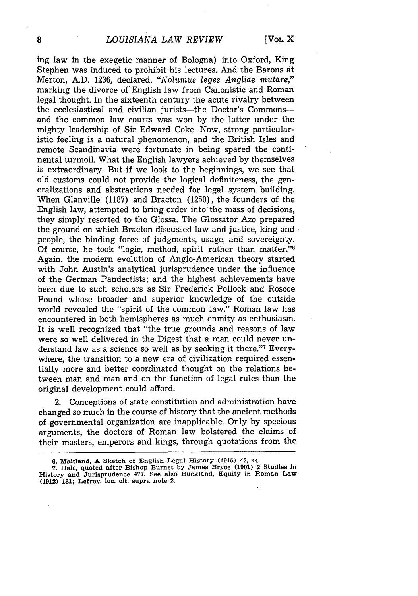ing law in the exegetic manner of Bologna) into Oxford, King Stephen was induced to prohibit his lectures. And the Barons at Merton, A.D. 1236, declared, *"Nolumus leges Angliae mutare,"* marking the divorce of' English law from Canonistic and Roman legal thought. In the sixteenth century the acute rivalry between the ecclesiastical and civilian jurists-the Doctor's Commonsand the common law courts was won by the latter under the mighty leadership of Sir Edward Coke. Now, strong particularistic feeling is a natural phenomenon, and the British Isles and remote Scandinavia were fortunate in being spared the continental turmoil. What the English lawyers achieved by themselves is extraordinary. But if we look to the beginnings, we see that old customs could not provide the logical definiteness, the generalizations and abstractions needed for legal system building. When Glanville (1187) and Bracton (1250), the founders of the English law, attempted to bring order into the mass of decisions, they simply resorted to the Glossa. The Glossator Azo prepared the ground on which Bracton discussed law and justice, king and people, the binding force of judgments, usage, and sovereignty. Of course, he took "logic, method, spirit rather than matter." Again, the modern evolution of Anglo-American theory started with John Austin's analytical jurisprudence under the influence of the German Pandectists; and the highest achievements have been due to such scholars as Sir Frederick Pollock and Roscoe Pound whose broader and superior knowledge of the outside world revealed the "spirit of the common law." Roman law has encountered in both hemispheres as much enmity as enthusiasm. It is well recognized that "the true grounds and reasons of law were so well delivered in the Digest that a man could never understand law as a science so well as by seeking it there."7 Everywhere, the transition to a new era of civilization required essentially more and better coordinated thought on the relations between man and man and on the function of legal rules than the original development could afford.

2. Conceptions of state constitution and administration have changed so much in the course of history that the ancient methods of governmental organization are inapplicable. Only by specious arguments, the doctors of Roman law bolstered the claims of their masters, emperors and kings, through quotations from the

**<sup>6.</sup> Maitland, A Sketch of English Legal History (1915) 42, 44.**

**<sup>7.</sup> Hale, quoted after Bishop Burnet by James Bryce (1901) 2 Studies in History and Jurisprudence 477. See also Buckland, Equity in Roman Law (1912) 131; Lefroy, loc. cit. supra note 2.**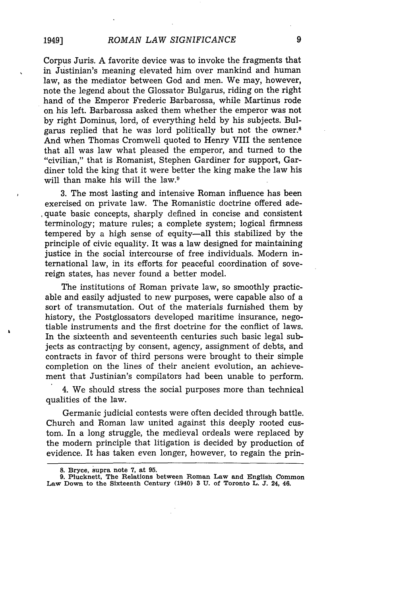Corpus Juris. A favorite device was to invoke the fragments that in Justinian's meaning elevated him over mankind and human law, as the mediator between God and men. We may, however, note the legend about the Glossator Bulgarus, riding on the right hand of the Emperor Frederic Barbarossa, while Martinus rode on his left. Barbarossa asked them whether the emperor was not by right Dominus, lord, of everything held by his subjects. Bulgarus replied that he was lord politically but not the owner.8 And when Thomas Cromwell quoted to Henry VIII the sentence that all was law what pleased the emperor, and turned to the "civilian," that is Romanist, Stephen Gardiner for support, Gardiner told the king that it were better the king make the law his will than make his will the law. $9$ 

3. The most lasting and intensive Roman influence has been exercised on private law. The Romanistic doctrine offered adequate basic concepts, sharply defined in concise and consistent terminology; mature rules; a complete system; logical firmness tempered by a high sense of equity-all this stabilized by the principle of civic equality. It was a law designed for maintaining justice in the social intercourse of free individuals. Modern international law, in its efforts for peaceful coordination of sovereign states, has never found a better model.

The institutions of Roman private law, so smoothly practicable and easily adjusted to new purposes, were capable also of a sort of transmutation. Out of the materials furnished them by history, the Postglossators developed maritime insurance, negotiable instruments and the first doctrine for the conflict of laws. In the sixteenth and seventeenth centuries such basic legal subjects as contracting by consent, agency, assignment of debts, and contracts in favor of third persons were brought to their simple completion on the lines of their ancient evolution, an achievement that Justinian's compilators had been unable to perform.

4. We should stress the social purposes more than technical qualities of the law.

Germanic judicial contests were often decided through battle. Church and Roman law united against this deeply rooted custom. In a long struggle, the medieval ordeals were replaced by the modern principle that litigation is decided by production of evidence. It has taken even longer, however, to regain the prin-

1949]

**<sup>8.</sup>** Bryce, **supra note 7, at 95.**

**<sup>9.</sup> Plucknett, The Relations between Roman Law and English Common Law Down to the Sixteenth Century (1940) 3 U. of Toronto L. J. 24, 46.**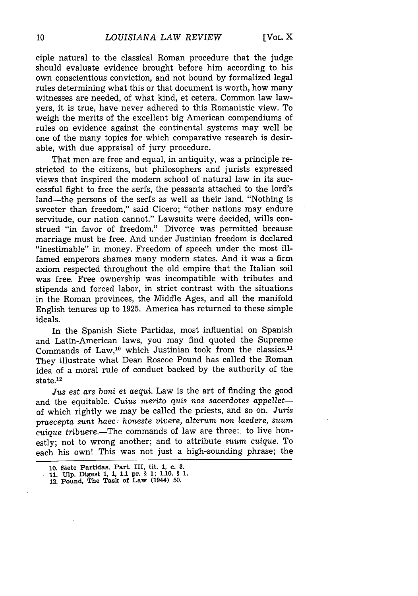ciple natural to the classical Roman procedure that the judge should evaluate evidence brought before him according to his own conscientious conviction, and not bound by formalized legal rules determining what this or that document is worth, how many witnesses are needed, of what kind, et cetera. Common law lawyers, it is true, have never adhered to this Romanistic view. To weigh the merits of the excellent big American compendiums of rules on evidence against the continental systems may well be one of the many topics for which comparative research is desirable, with due appraisal of jury procedure.

That men are free and equal, in antiquity, was a principle restricted to the citizens, but philosophers and jurists expressed views that inspired the modern school of natural law in its successful fight to free the serfs, the peasants attached to the lord's land-the persons of the serfs as well as their land. "Nothing is sweeter than freedom," said Cicero; "other nations may endure servitude, our nation cannot." Lawsuits were decided, wills construed "in favor of freedom." Divorce was permitted because marriage must be free. And under Justinian freedom is declared "inestimable" in money. Freedom of speech under the most illfamed emperors shames many modem states. And it was a firm axiom respected throughout the old empire that the Italian soil was free. Free ownership was incompatible with tributes and stipends and forced labor, in strict contrast with the situations in the Roman provinces, the Middle Ages, and all the manifold English tenures up to 1925. America has returned to these simple ideals.

In the Spanish Siete Partidas, most influential on Spanish and Latin-American laws, you may find quoted the Supreme Commands of  $Law<sub>10</sub>$  which Justinian took from the classics.<sup>11</sup> They illustrate what Dean Roscoe Pound has called the Roman idea of a moral rule of conduct backed by the authority of the state. $12$ 

*Jus est ars boni et aequi.* Law is the art of finding the good and the equitable. *Cuius merito quis nos sacerdotes appellet*of which rightly we may be called the priests, and so on. *Juris praecepta sunt haec: honeste vivere, alterum non laedere, suum* cuique tribuere.-The commands of law are three: to live honestly; not to wrong another; and to attribute *suum cuique.* To each his own! This was not just a high-sounding phrase; the

**<sup>10.</sup> Siete Partidas, Part. III,** tit. **1, c. 3. 11. Ulp.** Digest **1, 1, 1.1** pr. § **1; 1.10,** § **1.**

**<sup>12.</sup>** Pound, The Task of **Law** (1944) **50.**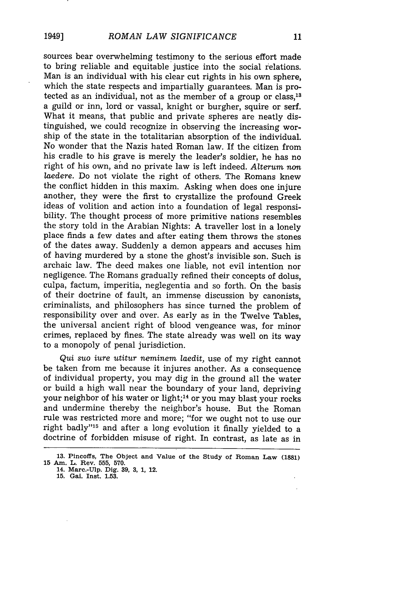sources bear overwhelming testimony to the serious effort made to bring reliable and equitable justice into the social relations. Man is an individual with his clear cut rights in his own sphere, which the state respects and impartially guarantees. Man is protected as an individual, not as the member of a group or class,<sup>13</sup> a guild or inn, lord or vassal, knight or burgher, squire or serf. What it means, that public and private spheres are neatly distinguished, we could recognize in observing the increasing worship of the state in the totalitarian absorption of the individual. No wonder that the Nazis hated Roman law. If the citizen from his cradle to his grave is merely the leader's soldier, he has no right of his own, and no private law is left indeed. *Alterum* non *laedere.* Do not violate the right of others. The Romans knew the conflict hidden in this maxim. Asking when does one injure another, they were the first to crystallize the profound Greek ideas of volition and action into a foundation of legal responsibility. The thought process of more primitive nations resembles the story told in the Arabian Nights: A traveller lost in a lonely place finds a few dates and after eating them throws the stones of the dates away. Suddenly a demon appears and accuses him of having murdered by a stone the ghost's invisible son. Such is archaic law. The deed makes one liable, not evil intention nor negligence. The Romans gradually refined their concepts of dolus, culpa, factum, imperitia, neglegentia and so forth. On the basis of their doctrine of fault, an immense discussion by canonists, criminalists, and philosophers has since turned the problem of responsibility over and over. As early as in the Twelve Tables, the universal ancient right of blood vengeance was, for minor crimes, replaced by fines. The state already was well on its way to a monopoly of penal jurisdiction.

*Qui suo iure utitur neminem laedit,* use of my right cannot be taken from me because it injures another. As a consequence of individual property, you may dig in the ground all the water or build a high wall near the boundary of your land, depriving your neighbor of his water or light;<sup>14</sup> or you may blast your rocks and undermine thereby the neighbor's house. But the Roman rule was restricted more and more; "for we ought not to use our right badly"<sup>15</sup> and after a long evolution it finally yielded to a doctrine of forbidden misuse of right. In contrast, as late as in

1949]

**<sup>13.</sup>** Pincoffs, **The** Object **and Value of the Study of Roman Law (1881) 15 Am. L. Rev. 555, 570.**

**<sup>14.</sup> Marc.-Ulp. Dig. 39, 3, 1, 12. 15. Gai.** Inst. **1.53.**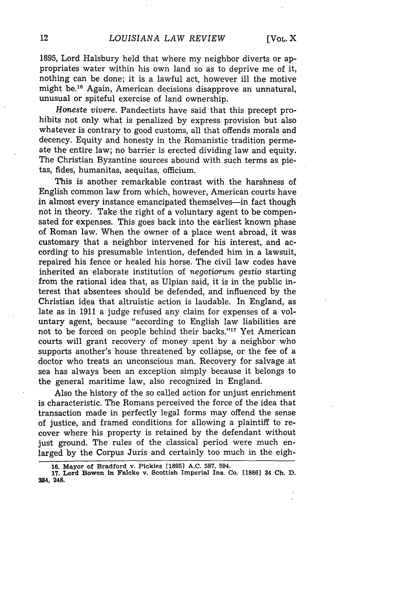1895, Lord Halsbury held that where my neighbor diverts or appropriates water within his own land so as to deprive me of it, nothing can be done; it is a lawful act, however ill the motive might be.16 Again, American decisions disapprove an unnatural, unusual or spiteful exercise of land ownership.

*Honeste vivere.* Pandectists have said that this precept prohibits not only what is penalized by express provision but also whatever is contrary to good customs, all that offends morals and decency. Equity and honesty in the Romanistic tradition permeate the entire law; no barrier is erected dividing law and equity. The Christian Byzantine sources abound with such terms as pietas, fides, humanitas, aequitas, officium.

This is another remarkable contrast with the harshness of English common law from which, however, American courts have in almost every instance emancipated themselves-in fact though not in theory. Take the right of a voluntary agent to be compensated for expenses. This goes back into the earliest known phase of Roman law. When the owner of a place went abroad, it was customary that a neighbor intervened for his interest, and according to his presumable intention, defended him in a lawsuit, repaired his fence or healed his horse. The civil law codes have inherited an elaborate institution of *negotiorum* gestio starting from the rational idea that, as Ulpian said, it is in the public interest that absentees should be defended, and influenced by the Christian idea that altruistic action is laudable. In England, as late as in 1911 a judge refused any claim for expenses of a voluntary agent, because "according to English law liabilities are not to be forced on people behind their backs."<sup>17</sup> Yet American courts will grant recovery of money spent by a neighbor who supports another's house threatened by collapse, or the fee of a doctor who treats an unconscious man. Recovery for salvage at sea has always been an exception simply because it belongs to the general maritime law, also recognized in England.

Also the history of the so called action for unjust enrichment is characteristic. The Romans perceived the force of the idea that transaction made in perfectly legal forms may offend the sense of justice, and framed conditions for allowing a plaintiff to recover where his property is retained by the defendant without just ground. The rules of the classical period were much enlarged by the Corpus Juris and certainly too much in the eigh-

- **16. Mayor** of Bradford v. Pickles **[1895] A.C. 587,** 594.
- **17. Lord Bowen in Falcke v. Scottish** Imperial **Ins. Co. [1886] 34 Ch. D. 234, 248.**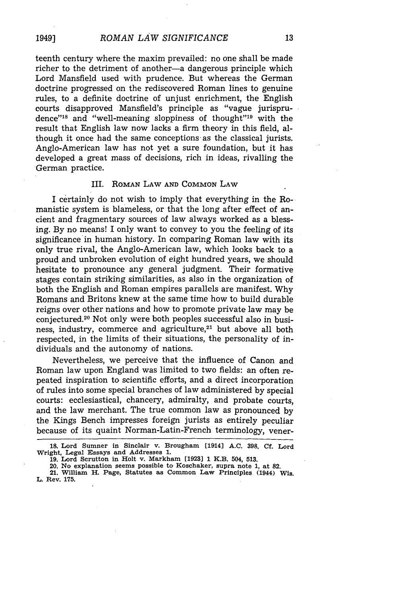teenth century where the maxim prevailed: no one shall be made richer to the detriment of another-a dangerous principle which Lord Mansfield used with prudence. But whereas the German doctrine progressed on the rediscovered Roman lines to genuine rules, to a definite doctrine of unjust enrichment, the English courts disapproved Mansfield's principle as "vague jurisprudence"<sup>18</sup> and "well-meaning sloppiness of thought"<sup>19</sup> with the result that English law now lacks a firm theory in this field, although it once had the same conceptions as the classical jurists. Anglo-American law has not yet a sure foundation, but it has developed a great mass of decisions, rich in ideas, rivalling the German practice.

#### III. ROMAN LAW **AND COMMON** LAW

I certainly do not wish to imply that everything in the Romanistic system is blameless, or that the long after effect of ancient and fragmentary sources of law always worked as a blessing. By no means! I only want to convey to you the feeling of its significance in human history. In comparing Roman law with its only true rival, the Anglo-American law, which looks back to a proud and unbroken evolution of eight hundred years, we should hesitate to pronounce any general judgment. Their formative stages contain striking similarities, as also in the organization of both the English and Roman empires parallels are manifest. Why Romans and Britons knew at the same time how to build durable reigns over other nations and how to promote private law may be conjectured.<sup>20</sup> Not only were both peoples successful also in business, industry, commerce and agriculture,<sup>21</sup> but above all both respected, in the limits of their situations, the personality of individuals and the autonomy of nations.

Nevertheless, we perceive that the influence of Canon and Roman law upon England was limited to two fields: an often repeated inspiration to scientific efforts, and a direct incorporation of rules into some special branches of law administered by special courts: ecclesiastical, chancery, admiralty, and probate courts, and the law merchant. The true common law as pronounced by the Kings Bench impresses foreign jurists as entirely peculiar because of its quaint Norman-Latin-French terminology, vener-

**<sup>18.</sup> Lord** Sumner **in Sinclair** v. **Brougham [1914] A.C. 398. Cf. Lord Wright, Legal Essays and Addresses 1.**

**<sup>19.</sup> Lord Scrutton in Holt v. Markham [1923] 1 K.B. 504, 513.**

**<sup>20.</sup> No explanation seems possible to Koschaker, supra note 1, at 82.**

**<sup>21.</sup> William H. Page, Statutes as Common Law Principles (1944) Wis. L. Rev. 175.**